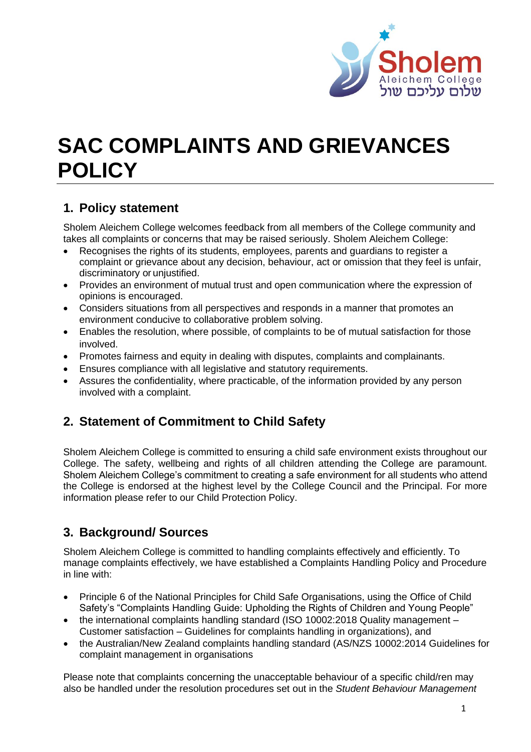

# **SAC COMPLAINTS AND GRIEVANCES POLICY**

# **1. Policy statement**

Sholem Aleichem College welcomes feedback from all members of the College community and takes all complaints or concerns that may be raised seriously. Sholem Aleichem College:

- Recognises the rights of its students, employees, parents and guardians to register a complaint or grievance about any decision, behaviour, act or omission that they feel is unfair, discriminatory or unjustified.
- Provides an environment of mutual trust and open communication where the expression of opinions is encouraged.
- Considers situations from all perspectives and responds in a manner that promotes an environment conducive to collaborative problem solving.
- Enables the resolution, where possible, of complaints to be of mutual satisfaction for those involved.
- Promotes fairness and equity in dealing with disputes, complaints and complainants.
- Ensures compliance with all legislative and statutory requirements.
- Assures the confidentiality, where practicable, of the information provided by any person involved with a complaint.

# **2. Statement of Commitment to Child Safety**

Sholem Aleichem College is committed to ensuring a child safe environment exists throughout our College. The safety, wellbeing and rights of all children attending the College are paramount. Sholem Aleichem College's commitment to creating a safe environment for all students who attend the College is endorsed at the highest level by the College Council and the Principal. For more information please refer to our Child Protection Policy.

# **3. Background/ Sources**

Sholem Aleichem College is committed to handling complaints effectively and efficiently. To manage complaints effectively, we have established a Complaints Handling Policy and Procedure in line with:

- Principle 6 of the National Principles for Child Safe Organisations, using the Office of Child Safety's "Complaints Handling Guide: Upholding the Rights of Children and Young People"
- the international complaints handling standard (ISO 10002:2018 Quality management Customer satisfaction – Guidelines for complaints handling in organizations), and
- the Australian/New Zealand complaints handling standard (AS/NZS 10002:2014 Guidelines for complaint management in organisations

Please note that complaints concerning the unacceptable behaviour of a specific child/ren may also be handled under the resolution procedures set out in the *Student Behaviour Management*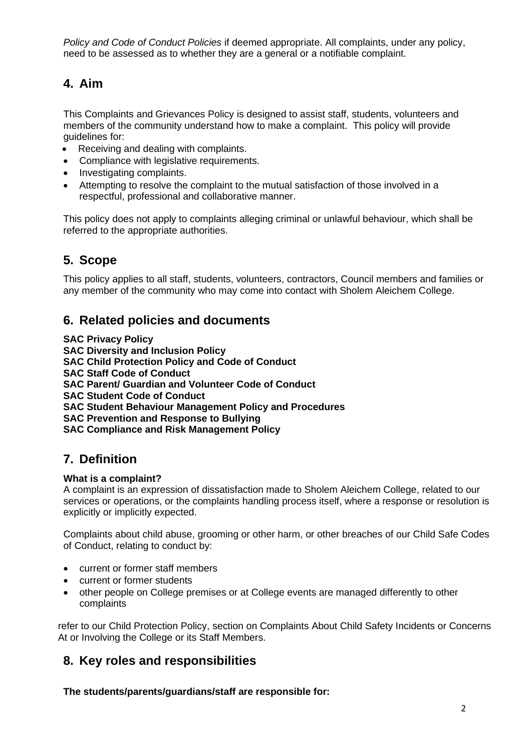*Policy and Code of Conduct Policies* if deemed appropriate. All complaints, under any policy, need to be assessed as to whether they are a general or a notifiable complaint.

# **4. Aim**

This Complaints and Grievances Policy is designed to assist staff, students, volunteers and members of the community understand how to make a complaint. This policy will provide guidelines for:

- Receiving and dealing with complaints.
- Compliance with legislative requirements.
- Investigating complaints.
- Attempting to resolve the complaint to the mutual satisfaction of those involved in a respectful, professional and collaborative manner.

This policy does not apply to complaints alleging criminal or unlawful behaviour, which shall be referred to the appropriate authorities.

# **5. Scope**

This policy applies to all staff, students, volunteers, contractors, Council members and families or any member of the community who may come into contact with Sholem Aleichem College.

## **6. Related policies and documents**

**SAC Privacy Policy**

**SAC Diversity and Inclusion Policy** 

**SAC Child Protection Policy and Code of Conduct**

**SAC Staff Code of Conduct**

**SAC Parent/ Guardian and Volunteer Code of Conduct** 

**SAC Student Code of Conduct** 

**SAC Student Behaviour Management Policy and Procedures**

**SAC Prevention and Response to Bullying**

**SAC Compliance and Risk Management Policy**

# **7. Definition**

#### **What is a complaint?**

A complaint is an expression of dissatisfaction made to Sholem Aleichem College, related to our services or operations, or the complaints handling process itself, where a response or resolution is explicitly or implicitly expected.

Complaints about child abuse, grooming or other harm, or other breaches of our Child Safe Codes of Conduct, relating to conduct by:

- current or former staff members
- current or former students
- other people on College premises or at College events are managed differently to other complaints

refer to our Child Protection Policy, section on Complaints About Child Safety Incidents or Concerns At or Involving the College or its Staff Members.

# **8. Key roles and responsibilities**

**The students/parents/guardians/staff are responsible for:**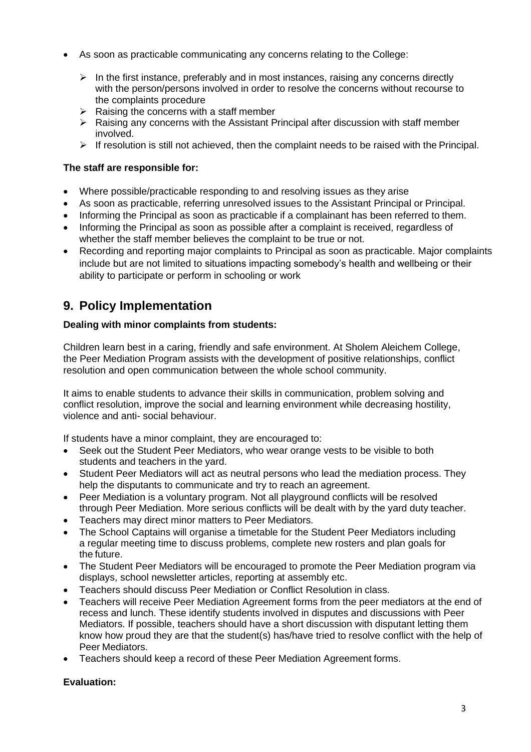- As soon as practicable communicating any concerns relating to the College:
	- ➢ In the first instance, preferably and in most instances, raising any concerns directly with the person/persons involved in order to resolve the concerns without recourse to the complaints procedure
	- $\triangleright$  Raising the concerns with a staff member
	- ➢ Raising any concerns with the Assistant Principal after discussion with staff member involved.
	- $\triangleright$  If resolution is still not achieved, then the complaint needs to be raised with the Principal.

## **The staff are responsible for:**

- Where possible/practicable responding to and resolving issues as they arise
- As soon as practicable, referring unresolved issues to the Assistant Principal or Principal.
- Informing the Principal as soon as practicable if a complainant has been referred to them.
- Informing the Principal as soon as possible after a complaint is received, regardless of whether the staff member believes the complaint to be true or not.
- Recording and reporting major complaints to Principal as soon as practicable. Major complaints include but are not limited to situations impacting somebody's health and wellbeing or their ability to participate or perform in schooling or work

# **9. Policy Implementation**

## **Dealing with minor complaints from students:**

Children learn best in a caring, friendly and safe environment. At Sholem Aleichem College, the Peer Mediation Program assists with the development of positive relationships, conflict resolution and open communication between the whole school community.

It aims to enable students to advance their skills in communication, problem solving and conflict resolution, improve the social and learning environment while decreasing hostility, violence and anti- social behaviour.

If students have a minor complaint, they are encouraged to:

- Seek out the Student Peer Mediators, who wear orange vests to be visible to both students and teachers in the yard.
- Student Peer Mediators will act as neutral persons who lead the mediation process. They help the disputants to communicate and try to reach an agreement.
- Peer Mediation is a voluntary program. Not all playground conflicts will be resolved through Peer Mediation. More serious conflicts will be dealt with by the yard duty teacher.
- Teachers may direct minor matters to Peer Mediators.
- The School Captains will organise a timetable for the Student Peer Mediators including a regular meeting time to discuss problems, complete new rosters and plan goals for the future.
- The Student Peer Mediators will be encouraged to promote the Peer Mediation program via displays, school newsletter articles, reporting at assembly etc.
- Teachers should discuss Peer Mediation or Conflict Resolution in class.
- Teachers will receive Peer Mediation Agreement forms from the peer mediators at the end of recess and lunch. These identify students involved in disputes and discussions with Peer Mediators. If possible, teachers should have a short discussion with disputant letting them know how proud they are that the student(s) has/have tried to resolve conflict with the help of Peer Mediators.
- Teachers should keep a record of these Peer Mediation Agreement forms.

## **Evaluation:**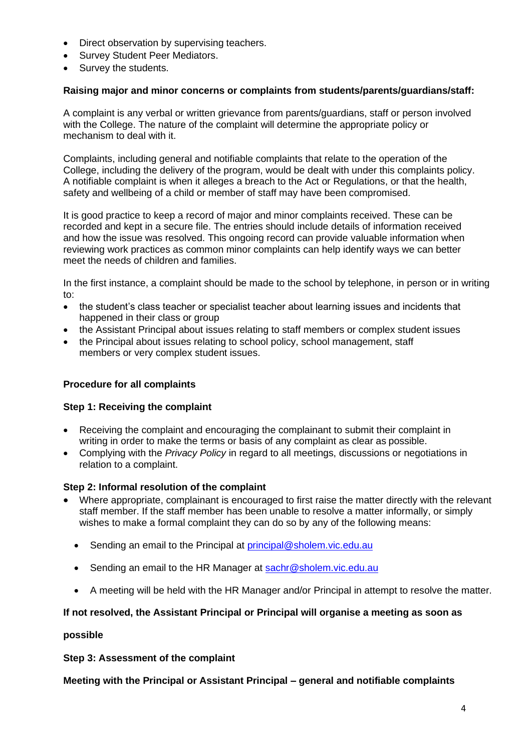- Direct observation by supervising teachers.
- Survey Student Peer Mediators.
- Survey the students.

#### **Raising major and minor concerns or complaints from students/parents/guardians/staff:**

A complaint is any verbal or written grievance from parents/guardians, staff or person involved with the College. The nature of the complaint will determine the appropriate policy or mechanism to deal with it.

Complaints, including general and notifiable complaints that relate to the operation of the College, including the delivery of the program, would be dealt with under this complaints policy. A notifiable complaint is when it alleges a breach to the Act or Regulations, or that the health, safety and wellbeing of a child or member of staff may have been compromised.

It is good practice to keep a record of major and minor complaints received. These can be recorded and kept in a secure file. The entries should include details of information received and how the issue was resolved. This ongoing record can provide valuable information when reviewing work practices as common minor complaints can help identify ways we can better meet the needs of children and families.

In the first instance, a complaint should be made to the school by telephone, in person or in writing to:

- the student's class teacher or specialist teacher about learning issues and incidents that happened in their class or group
- the Assistant Principal about issues relating to staff members or complex student issues
- the Principal about issues relating to school policy, school management, staff members or very complex student issues.

## **Procedure for all complaints**

#### **Step 1: Receiving the complaint**

- Receiving the complaint and encouraging the complainant to submit their complaint in writing in order to make the terms or basis of any complaint as clear as possible.
- Complying with the *Privacy Policy* in regard to all meetings, discussions or negotiations in relation to a complaint.

#### **Step 2: Informal resolution of the complaint**

- Where appropriate, complainant is encouraged to first raise the matter directly with the relevant staff member. If the staff member has been unable to resolve a matter informally, or simply wishes to make a formal complaint they can do so by any of the following means:
	- Sending an email to the Principal at [principal@sholem.vic.edu.au](mailto:principal@sholem.vic.edu.au)
	- Sending an email to the HR Manager at [sachr@sholem.vic.edu.au](mailto:sachr@sholem.vic.edu.au)
	- A meeting will be held with the HR Manager and/or Principal in attempt to resolve the matter.

#### **If not resolved, the Assistant Principal or Principal will organise a meeting as soon as**

#### **possible**

**Step 3: Assessment of the complaint**

**Meeting with the Principal or Assistant Principal – general and notifiable complaints**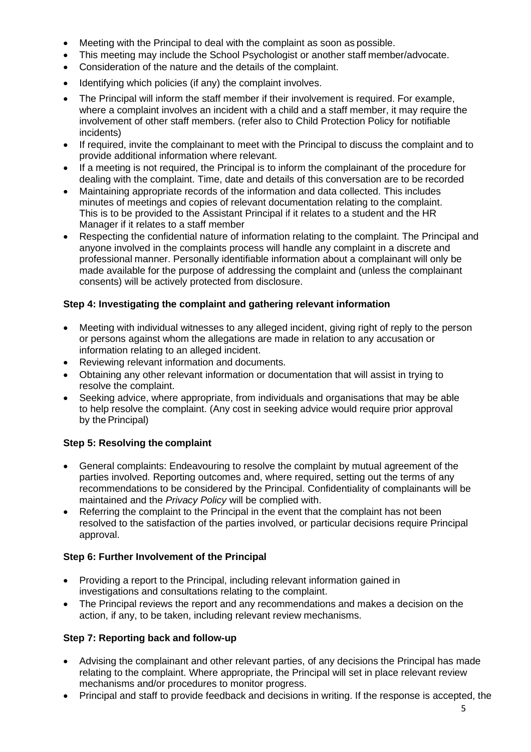- Meeting with the Principal to deal with the complaint as soon as possible.
- This meeting may include the School Psychologist or another staff member/advocate.
- Consideration of the nature and the details of the complaint.
- Identifying which policies (if any) the complaint involves.
- The Principal will inform the staff member if their involvement is required. For example, where a complaint involves an incident with a child and a staff member, it may require the involvement of other staff members. (refer also to Child Protection Policy for notifiable incidents)
- If required, invite the complainant to meet with the Principal to discuss the complaint and to provide additional information where relevant.
- If a meeting is not required, the Principal is to inform the complainant of the procedure for dealing with the complaint. Time, date and details of this conversation are to be recorded
- Maintaining appropriate records of the information and data collected. This includes minutes of meetings and copies of relevant documentation relating to the complaint. This is to be provided to the Assistant Principal if it relates to a student and the HR Manager if it relates to a staff member
- Respecting the confidential nature of information relating to the complaint. The Principal and anyone involved in the complaints process will handle any complaint in a discrete and professional manner. Personally identifiable information about a complainant will only be made available for the purpose of addressing the complaint and (unless the complainant consents) will be actively protected from disclosure.

## **Step 4: Investigating the complaint and gathering relevant information**

- Meeting with individual witnesses to any alleged incident, giving right of reply to the person or persons against whom the allegations are made in relation to any accusation or information relating to an alleged incident.
- Reviewing relevant information and documents.
- Obtaining any other relevant information or documentation that will assist in trying to resolve the complaint.
- Seeking advice, where appropriate, from individuals and organisations that may be able to help resolve the complaint. (Any cost in seeking advice would require prior approval by the Principal)

## **Step 5: Resolving the complaint**

- General complaints: Endeavouring to resolve the complaint by mutual agreement of the parties involved. Reporting outcomes and, where required, setting out the terms of any recommendations to be considered by the Principal. Confidentiality of complainants will be maintained and the *Privacy Policy* will be complied with.
- Referring the complaint to the Principal in the event that the complaint has not been resolved to the satisfaction of the parties involved, or particular decisions require Principal approval.

## **Step 6: Further Involvement of the Principal**

- Providing a report to the Principal, including relevant information gained in investigations and consultations relating to the complaint.
- The Principal reviews the report and any recommendations and makes a decision on the action, if any, to be taken, including relevant review mechanisms.

## **Step 7: Reporting back and follow-up**

- Advising the complainant and other relevant parties, of any decisions the Principal has made relating to the complaint. Where appropriate, the Principal will set in place relevant review mechanisms and/or procedures to monitor progress.
- Principal and staff to provide feedback and decisions in writing. If the response is accepted, the